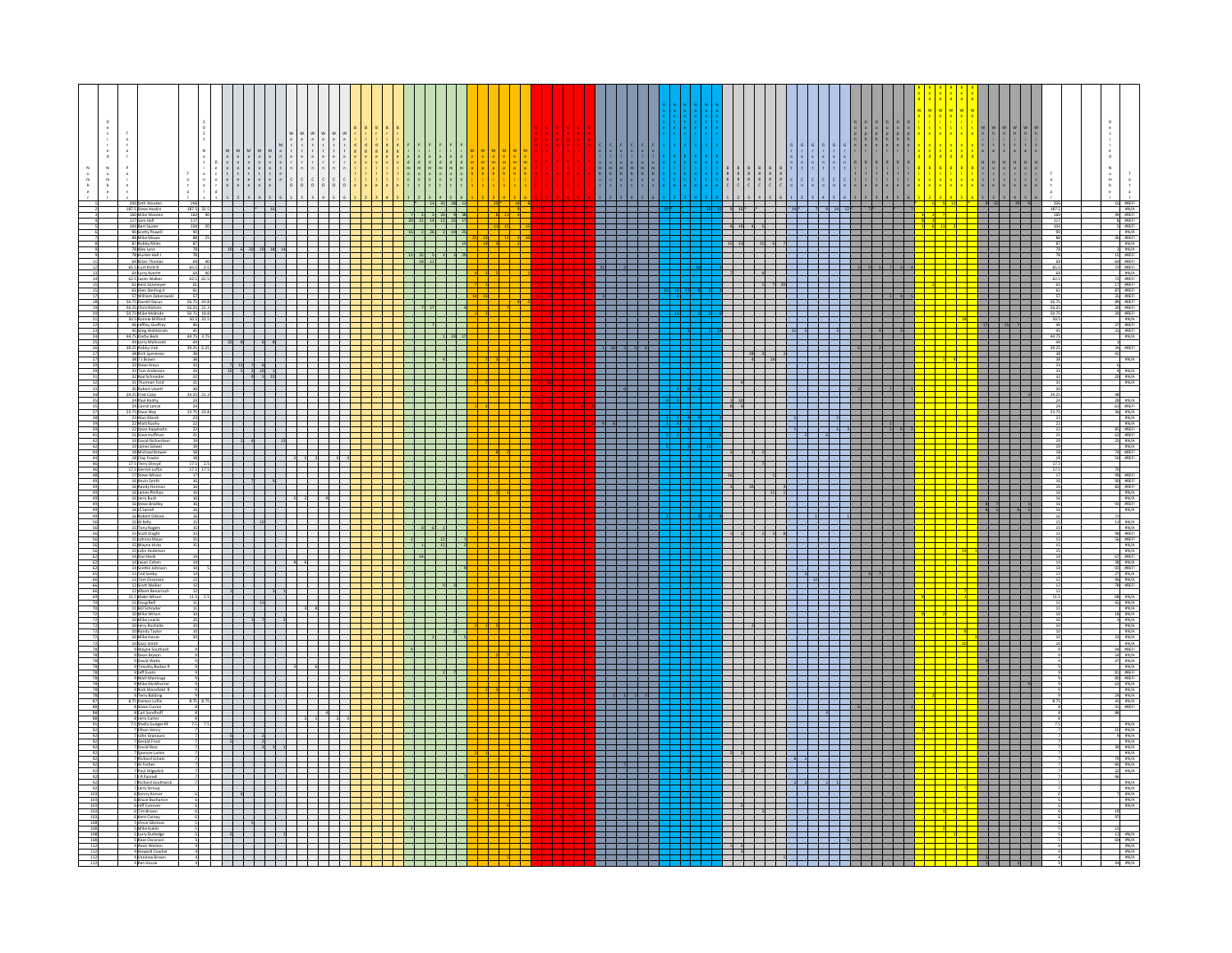|  |                                                                                                                |                                                                                                                                   |                               |                                                                                                                                                                                                                                      |                            |                          |  |                             |                              |                                                                      |  |  |            |                                           |                         |  |                            |                                                            |  | RRRR |  |                                                                                                                          | $\begin{array}{c} \n\text{H} \\ \text{O}\n\end{array}$                                                                                                                                                                                                                                                                                                                                                                                                          |             | $\begin{array}{c} \mathbf{N}\\ \mathbf{U}\\ \mathbf{U}\\ \mathbf{U} \end{array}$                                                                                                                                                                                                                                                                                                                                                                                                                |
|--|----------------------------------------------------------------------------------------------------------------|-----------------------------------------------------------------------------------------------------------------------------------|-------------------------------|--------------------------------------------------------------------------------------------------------------------------------------------------------------------------------------------------------------------------------------|----------------------------|--------------------------|--|-----------------------------|------------------------------|----------------------------------------------------------------------|--|--|------------|-------------------------------------------|-------------------------|--|----------------------------|------------------------------------------------------------|--|------|--|--------------------------------------------------------------------------------------------------------------------------|-----------------------------------------------------------------------------------------------------------------------------------------------------------------------------------------------------------------------------------------------------------------------------------------------------------------------------------------------------------------------------------------------------------------------------------------------------------------|-------------|-------------------------------------------------------------------------------------------------------------------------------------------------------------------------------------------------------------------------------------------------------------------------------------------------------------------------------------------------------------------------------------------------------------------------------------------------------------------------------------------------|
|  | 206 Seth Wooten<br>187.5 Steve Hoskin<br>160 Mike Wooten                                                       | 206<br>187.5 32.5<br>160 40                                                                                                       |                               | $\begin{array}{ c c c c c }\n\hline\n\text{16} & \text{16}\n\end{array}$                                                                                                                                                             |                            |                          |  |                             |                              |                                                                      |  |  |            |                                           |                         |  |                            |                                                            |  |      |  |                                                                                                                          | $\frac{9}{1}$                                                                                                                                                                                                                                                                                                                                                                                                                                                   |             |                                                                                                                                                                                                                                                                                                                                                                                                                                                                                                 |
|  | 117 Sam Hall                                                                                                   | 117                                                                                                                               |                               | l se construído de seu construído de la propia de la construída de la construída de la construída de la constru                                                                                                                      |                            |                          |  |                             | 20 21 14 12 22 17            |                                                                      |  |  |            |                                           |                         |  |                            |                                                            |  |      |  | Г                                                                                                                        |                                                                                                                                                                                                                                                                                                                                                                                                                                                                 |             |                                                                                                                                                                                                                                                                                                                                                                                                                                                                                                 |
|  | 104 Bart Sauter<br>90 Scotty Powell<br>88 Mike Moses                                                           | $\begin{array}{r} 104 \quad 20 \\ 90 \quad 88 \quad 25 \end{array}$                                                               |                               | <u> - 2000 - 2000 - 2000 - 2000 - 2000 - 2000 - 2000 - 2000 - 2000 - 2000 - 2000 - 2000 - 2000 - 2000 - 2000 - 2</u>                                                                                                                 |                            |                          |  |                             | 16 2 26 2 19 25              |                                                                      |  |  |            |                                           | Filman                  |  |                            | <u> 1951 - Frans Amerikaanse politike</u>                  |  |      |  |                                                                                                                          | <u>este de la</u>                                                                                                                                                                                                                                                                                                                                                                                                                                               |             | $\begin{tabular}{c c c} 16 & BREF\\ \hline 49 & BREF\\ 8 & BREF\\ 18 & BREF\\ 18 & BREF\\ 18 & BREF\\ 18 & BREF\\ 19 & AREF\\ 15 & BREF\\ 17 & BREF\\ 17 & BREF\\ 18 & BREF\\ 19 & BREF\\ 11 & BREF\\ 12 & BREF\\ 13 & BREF\\ 14 & BREF\\ 15 & BREF\\ 16 & BREF\\ 17 & BREF\\ 18 & BREF\\ 19 & AREF\\ 10 & AREF\\ 11 & BREF\\ 12 & BREF\\ 13 & BREF\\ 14 & BREF\\ 16 & BREF\\ 17 & BREF\\ 18$                                                                                                   |
|  | 87 Robby Miles<br>78 Alex Lynn<br>78 Hunter Hall J                                                             | 78                                                                                                                                | and the state of the state of |                                                                                                                                                                                                                                      | and a bh                   |                          |  |                             | 13 25 5 3 3 29               | $\overline{1}$ 15                                                    |  |  |            | maa maan                                  |                         |  |                            | 15 13 14 6 7 1 1 1 1 1 1 1 1 1                             |  |      |  |                                                                                                                          | <mark>▝</mark> ▝▝▝▝ <sup></sup><br><mark>▝</mark> ▝▝▝▝                                                                                                                                                                                                                                                                                                                                                                                                          |             |                                                                                                                                                                                                                                                                                                                                                                                                                                                                                                 |
|  | 69 Brian Thomas<br>65.5 Curt Knitt R                                                                           | 69 40<br>$\frac{65.5}{64}$ $\frac{2.5}{40}$                                                                                       |                               | $\begin{array}{r}\n10 \quad 6 \quad 20 \quad 10 \quad 18 \quad 14 \\ \end{array}$                                                                                                                                                    |                            |                          |  |                             |                              | $\color{red}+$                                                       |  |  |            |                                           |                         |  |                            |                                                            |  |      |  |                                                                                                                          |                                                                                                                                                                                                                                                                                                                                                                                                                                                                 |             |                                                                                                                                                                                                                                                                                                                                                                                                                                                                                                 |
|  | 64 Larry Averitt<br>62.5 Jason Walke                                                                           | 62.5 62.5                                                                                                                         |                               | <u> La Carlo de la Carlo de la Carlo de la Carlo de la Carlo de la Carlo de la Carlo de la Carlo de la Carlo de l</u>                                                                                                                |                            |                          |  |                             |                              |                                                                      |  |  |            |                                           |                         |  |                            |                                                            |  |      |  |                                                                                                                          | <b>The Contract of the Contract of the Contract of the Contract of the Contract of the Contract of the Contract o</b>                                                                                                                                                                                                                                                                                                                                           | $-62$       |                                                                                                                                                                                                                                                                                                                                                                                                                                                                                                 |
|  | 61 Kent Sickmey<br>61 Glen Sterling.<br>Iliam Zabo                                                             | $\begin{array}{c} 61 \\ 61 \\ 57 \end{array}$                                                                                     |                               |                                                                                                                                                                                                                                      |                            |                          |  |                             | = = = = = = <br> = = = = = = |                                                                      |  |  |            |                                           | na sa na s              |  |                            |                                                            |  |      |  |                                                                                                                          | <u>isisisisisi</u><br>Laintarin                                                                                                                                                                                                                                                                                                                                                                                                                                 |             |                                                                                                                                                                                                                                                                                                                                                                                                                                                                                                 |
|  | 56.75 Darrell Dacus<br>56.25 Chris Nichols<br>50.75 Mike McBride<br>50.5 Ronnie Milford<br>50.5 Ronnie Milford | 56.75 43.8                                                                                                                        |                               | <u> Timber and the second part of the second part of the second part of the second part of the second part of the </u>                                                                                                               |                            |                          |  | $\frac{1}{2}$ $\frac{1}{2}$ |                              | $\overline{1}$ $\overline{4}$                                        |  |  |            | ________                                  |                         |  |                            | ___________________________                                |  |      |  |                                                                                                                          | $\begin{array}{c c c c c} \hline \multicolumn{3}{c }{\textbf{1}} & \multicolumn{3}{c }{\textbf{1}} \\ \hline \multicolumn{3}{c }{\textbf{1}} & \multicolumn{3}{c }{\textbf{1}} \\ \hline \multicolumn{3}{c }{\textbf{1}} & \multicolumn{3}{c }{\textbf{1}} \\ \hline \multicolumn{3}{c }{\textbf{1}} & \multicolumn{3}{c }{\textbf{1}} \\ \hline \multicolumn{3}{c }{\textbf{1}} & \multicolumn{3}{c }{\textbf{1}} \\ \hline \multicolumn{3}{c }{\textbf{1}} &$ | 56.7<br>56. | #REF!                                                                                                                                                                                                                                                                                                                                                                                                                                                                                           |
|  | 46 Jeffrey Godfrey                                                                                             | 56.25 213<br>50.75 18.8<br>50.5 32.5<br>46 7                                                                                      |                               |                                                                                                                                                                                                                                      |                            |                          |  |                             |                              | $\overline{\phantom{a}}$                                             |  |  |            |                                           |                         |  |                            |                                                            |  |      |  |                                                                                                                          | $15 \quad 7$                                                                                                                                                                                                                                                                                                                                                                                                                                                    | 50.7<br>50. | 30 #REF!<br>29 #REF!<br>37 #REF!                                                                                                                                                                                                                                                                                                                                                                                                                                                                |
|  | 45 Greg Wahlstron                                                                                              | 45                                                                                                                                |                               | <u> La Carlo de la c</u><br>_____________                                                                                                                                                                                            |                            | ————                     |  |                             |                              |                                                                      |  |  | a katika m | استحالت استحالت                           |                         |  |                            |                                                            |  |      |  |                                                                                                                          | <u>i i I</u>                                                                                                                                                                                                                                                                                                                                                                                                                                                    |             | $\frac{31}{\pi R}$ $\frac{\pi R F}{A}$                                                                                                                                                                                                                                                                                                                                                                                                                                                          |
|  | 44.75 Darby Beck<br>44 Larry Malinosis<br>39.25 Robby Vick<br>38 Rich Speraneo                                 | $\begin{array}{r} 44.75 \overline{\smash)3.75} \\ 44 \\ \overline{\phantom{1}39.25} \overline{\phantom{1}6.25} \end{array}$<br>38 |                               |                                                                                                                                                                                                                                      |                            |                          |  |                             |                              |                                                                      |  |  |            | $1$ 10 5 5 4                              |                         |  |                            | 18 3   2                                                   |  |      |  |                                                                                                                          |                                                                                                                                                                                                                                                                                                                                                                                                                                                                 |             | #REF!                                                                                                                                                                                                                                                                                                                                                                                                                                                                                           |
|  | 38 T J Brown<br>33 Steve Kraus                                                                                 | 38<br>33                                                                                                                          | $\blacksquare$                |                                                                                                                                                                                                                                      |                            |                          |  |                             | 1 2 2 3 3 4 3 4              |                                                                      |  |  |            |                                           |                         |  |                            | <b>14            </b>                                      |  |      |  |                                                                                                                          |                                                                                                                                                                                                                                                                                                                                                                                                                                                                 |             | $\pi N/A$                                                                                                                                                                                                                                                                                                                                                                                                                                                                                       |
|  | 33 Tom Anderso<br>32 Rod Schneide                                                                              |                                                                                                                                   |                               | $\begin{array}{ccccccccc} &7 & &13 & &7 & &6 & &\\ & &15 & &5 & &2 & &10 & &1\\ & & & &9 & &1 & &22 & &\\ \end{array}$                                                                                                               |                            |                          |  |                             |                              | ╅═╫═╫                                                                |  |  |            |                                           |                         |  |                            |                                                            |  |      |  |                                                                                                                          | <b>Tara</b>                                                                                                                                                                                                                                                                                                                                                                                                                                                     |             | $\frac{\pi N/A}{\pi N/A}$                                                                                                                                                                                                                                                                                                                                                                                                                                                                       |
|  | 31 Thurman Ford<br><b>30 Robert Unerti</b><br>24.25 Fred Calai                                                 | $\frac{31}{30}$                                                                                                                   |                               |                                                                                                                                                                                                                                      | _________________________  |                          |  |                             | <mark>├┼┼┼┼┼┼┼</mark>        |                                                                      |  |  |            |                                           |                         |  |                            |                                                            |  |      |  | П                                                                                                                        |                                                                                                                                                                                                                                                                                                                                                                                                                                                                 | $-242$      |                                                                                                                                                                                                                                                                                                                                                                                                                                                                                                 |
|  | 24 Paul Koohy<br>24 Carrol Lance                                                                               | $\frac{24.25}{24}$                                                                                                                |                               |                                                                                                                                                                                                                                      |                            |                          |  |                             |                              | ۲Ī.                                                                  |  |  |            |                                           |                         |  | $1\quad 10$<br>$8 \quad 4$ |                                                            |  |      |  |                                                                                                                          | <u>i</u><br>List of the state of the state of the state of the state of the state of the state of the state of the state o<br>List of the state of the state of the state of the state of the state of the state of the state of the stat                                                                                                                                                                                                                       | $_{24}$     | $\begin{array}{r}\n 48 \\  \hline\n 28 \\  \hline\n 61 \\  \hline\n 36 \\  \hline\n 38 \\  \hline\n 4N/A \\  \hline\n 4N/A\n \end{array}$                                                                                                                                                                                                                                                                                                                                                       |
|  | 23.75 Dave Way<br>23 Alan Marsh<br>22 Matt Koohy                                                               | 23.75 23.8                                                                                                                        |                               | .<br><u> 1950 - 1950 - 1950 - 1950 - 1950 - 1950 - 1950 - 1950 - 1950 - 1950 - 1950 - 1950 - 1950 - 1950 - 1950 - 195</u>                                                                                                            |                            |                          |  |                             |                              | and the state of the state                                           |  |  |            |                                           |                         |  |                            |                                                            |  |      |  |                                                                                                                          | i<br>Li                                                                                                                                                                                                                                                                                                                                                                                                                                                         | 23.7        |                                                                                                                                                                                                                                                                                                                                                                                                                                                                                                 |
|  | 2 Dean Kapph<br>21 Dave Huffmar                                                                                | 21                                                                                                                                |                               |                                                                                                                                                                                                                                      |                            |                          |  | and the projection          |                              | a di Ba                                                              |  |  |            |                                           |                         |  |                            |                                                            |  |      |  |                                                                                                                          | <b>Contract</b>                                                                                                                                                                                                                                                                                                                                                                                                                                                 |             | myA<br>mREFI<br>mREFI<br>mVA<br>mN/A<br>mREFI<br>mREFI                                                                                                                                                                                                                                                                                                                                                                                                                                          |
|  | 19 David Richards                                                                                              |                                                                                                                                   |                               |                                                                                                                                                                                                                                      | $\frac{1}{13}$             |                          |  |                             | <u>ssaara</u>                |                                                                      |  |  |            |                                           | <del>111111</del>       |  |                            |                                                            |  |      |  | П                                                                                                                        |                                                                                                                                                                                                                                                                                                                                                                                                                                                                 |             |                                                                                                                                                                                                                                                                                                                                                                                                                                                                                                 |
|  | 19 James Salwei<br>18 Michael Brew<br>18 Clay Fowler<br>17.5 Terry Olroyd                                      | 17.5 2.5                                                                                                                          |                               |                                                                                                                                                                                                                                      |                            |                          |  |                             |                              | ┽┽┽<br>. .                                                           |  |  |            | .                                         |                         |  |                            | 1919 - 1919 - 1919 - 1919 - 1919 - 1919<br>.               |  |      |  | Г                                                                                                                        | <u>i kata ing</u>                                                                                                                                                                                                                                                                                                                                                                                                                                               |             |                                                                                                                                                                                                                                                                                                                                                                                                                                                                                                 |
|  | 17.5 Demick Loffin<br>17 Steve Wilson                                                                          | $\frac{17.5}{17}$                                                                                                                 |                               | <u> Electronic de la conte</u>                                                                                                                                                                                                       |                            |                          |  |                             |                              | T T                                                                  |  |  |            | _______                                   |                         |  |                            |                                                            |  |      |  | г                                                                                                                        |                                                                                                                                                                                                                                                                                                                                                                                                                                                                 | 17.         |                                                                                                                                                                                                                                                                                                                                                                                                                                                                                                 |
|  | 16 Kevin Smith<br>16 Randy Horma<br>16 James Phillips                                                          | $\frac{16}{16}$<br>16                                                                                                             |                               |                                                                                                                                                                                                                                      |                            |                          |  |                             |                              |                                                                      |  |  |            |                                           |                         |  |                            |                                                            |  |      |  |                                                                                                                          |                                                                                                                                                                                                                                                                                                                                                                                                                                                                 |             | $\begin{array}{r l} \hline \vspace{0.08cm} 99 & \text{BREF} \\ \hline 90 & \text{BREF} \\ \hline 82 & \text{BREF} \\ \hline \text{RNA} \\ \hline 93 & \text{BREF} \\ \hline \text{RNA} \\ \hline \end{array}$                                                                                                                                                                                                                                                                                   |
|  | 16 Jerry Bush<br>16 Steve Bradley                                                                              | 16                                                                                                                                |                               |                                                                                                                                                                                                                                      | <b>1</b> 1 1 1 1 1 5 2 1 9 |                          |  |                             | _________                    |                                                                      |  |  |            |                                           |                         |  |                            | ___________________<br><u> 1922 - 200 - 200 - 200 - 20</u> |  |      |  |                                                                                                                          | <b>1</b><br>8 7<br>8 1 1                                                                                                                                                                                                                                                                                                                                                                                                                                        |             |                                                                                                                                                                                                                                                                                                                                                                                                                                                                                                 |
|  | 16 IC Jarrell<br>16 Robert DiRose<br>15 Al Kelly                                                               |                                                                                                                                   | <b>TILLER</b>                 | 15                                                                                                                                                                                                                                   |                            |                          |  |                             |                              |                                                                      |  |  |            |                                           |                         |  |                            | .                                                          |  |      |  |                                                                                                                          | $\overline{\phantom{0}}$                                                                                                                                                                                                                                                                                                                                                                                                                                        |             | $\sharp N/A$                                                                                                                                                                                                                                                                                                                                                                                                                                                                                    |
|  | 15 Tony Rogers                                                                                                 |                                                                                                                                   |                               | <u> La La La La La La</u>                                                                                                                                                                                                            |                            |                          |  |                             | 861                          |                                                                      |  |  |            |                                           | seasea                  |  |                            |                                                            |  |      |  |                                                                                                                          | <u>isisisisi</u><br>Hiikkin                                                                                                                                                                                                                                                                                                                                                                                                                                     |             | $\begin{array}{c}\n\text{H1}/\text{A} \\ \text{H1} \\ \text{H1} \\ \text{H1} \\ \text{H2} \\ \text{H2} \\ \text{H1}/\text{A}\n\end{array}$                                                                                                                                                                                                                                                                                                                                                      |
|  | 15 Scott Knight<br>15 Johnny Mayı<br>15 Wayne Hicks                                                            |                                                                                                                                   |                               |                                                                                                                                                                                                                                      |                            |                          |  |                             |                              | $\frac{1}{2}$                                                        |  |  |            |                                           |                         |  |                            |                                                            |  |      |  |                                                                                                                          |                                                                                                                                                                                                                                                                                                                                                                                                                                                                 |             |                                                                                                                                                                                                                                                                                                                                                                                                                                                                                                 |
|  | 13 Iohn Anderson<br>14 Dan Henk<br>14 Jason Cohen<br>14 Scottie Johnso                                         |                                                                                                                                   |                               |                                                                                                                                                                                                                                      |                            |                          |  |                             | <b>H</b> 34 <b>H</b> 1       |                                                                      |  |  |            |                                           | - - - - - - -           |  |                            |                                                            |  |      |  | L                                                                                                                        | i<br>I Helena                                                                                                                                                                                                                                                                                                                                                                                                                                                   |             | $\begin{array}{c cc}\n & \text{if } N/A \\ \hline\n67 & \text{if } REF1 \\ 38 & \text{if } N/A \\ \hline\n92 & \text{if } REF1\n\end{array}$                                                                                                                                                                                                                                                                                                                                                    |
|  | 13 Tod Soeby<br>12 Tom Oscarson                                                                                |                                                                                                                                   |                               | <u> Elektron</u>                                                                                                                                                                                                                     |                            | $^{\circ}$               |  |                             |                              | <b>The Company</b>                                                   |  |  |            |                                           |                         |  |                            | 1 1 3 1 1 1 3 7 1 1                                        |  |      |  |                                                                                                                          |                                                                                                                                                                                                                                                                                                                                                                                                                                                                 |             |                                                                                                                                                                                                                                                                                                                                                                                                                                                                                                 |
|  | 12 Scott Walker<br>12 Albert Benam                                                                             |                                                                                                                                   |                               | <u> El segundo de la segunda de la segunda de la segunda de la segunda de la segunda de la segunda de la segunda </u>                                                                                                                |                            |                          |  |                             |                              |                                                                      |  |  |            |                                           |                         |  |                            | 12                                                         |  |      |  |                                                                                                                          |                                                                                                                                                                                                                                                                                                                                                                                                                                                                 |             | $\frac{\pi N/A}{\pi N/A}$                                                                                                                                                                                                                                                                                                                                                                                                                                                                       |
|  | 11.5 Blake Wilson<br>11 Doug Bell                                                                              | 11.5 2.5                                                                                                                          |                               | 11                                                                                                                                                                                                                                   |                            |                          |  |                             |                              | $\begin{array}{c} \begin{array}{c} \text{+} \end{array} \end{array}$ |  |  |            |                                           |                         |  |                            | .                                                          |  |      |  | П                                                                                                                        | <b>The Co</b>                                                                                                                                                                                                                                                                                                                                                                                                                                                   |             | $\begin{array}{r l l} \hline & \text{B8} & \text{B1N/A} \\ \hline \text{65} & \text{B1N/A} \\ \hline & \text{B1N/A} \\ \hline & \text{B1N/A} \\ \hline & \text{B1N/A} \\ \hline & \text{B1N/A} \\ \hline & \text{B1N/A} \\ \hline & \text{B1N/A} \\ \hline & \text{B1N/A} \\ \hline \end{array}$                                                                                                                                                                                                |
|  | 1 Bill Schraden<br>10 Mike Wilson                                                                              |                                                                                                                                   |                               | <u> Timba katika matsa ya shekara na matsa na matsa na matsa na matsa na matsa na matsa na matsa na matsa na matsa na matsa na matsa na matsa na matsa na matsa na matsa na matsa na matsa na matsa na matsa na matsa na matsa n</u> |                            |                          |  |                             | <u>e a de a</u>              |                                                                      |  |  |            | -------                                   | 222222                  |  |                            |                                                            |  |      |  |                                                                                                                          | i<br>Heriotzak                                                                                                                                                                                                                                                                                                                                                                                                                                                  |             |                                                                                                                                                                                                                                                                                                                                                                                                                                                                                                 |
|  | 10 Mike Lowitz<br>10 Jerry Rochelle<br>O Randy Taylor                                                          | 10                                                                                                                                |                               |                                                                                                                                                                                                                                      |                            | ╅┽┽                      |  | - <del>1 - 1 - 1 -</del>    |                              |                                                                      |  |  |            | _______                                   | 222222                  |  |                            | _____________________________                              |  |      |  |                                                                                                                          |                                                                                                                                                                                                                                                                                                                                                                                                                                                                 |             |                                                                                                                                                                                                                                                                                                                                                                                                                                                                                                 |
|  | 10 Mike Hanes<br>10 Gary Smith<br>9 Wayne South                                                                |                                                                                                                                   |                               | _________                                                                                                                                                                                                                            |                            | ┯                        |  |                             | $\frac{1}{2}$ 5              |                                                                      |  |  |            | _______                                   |                         |  |                            | ____________________                                       |  |      |  | $\begin{array}{c} \begin{array}{c} \hline \ \hline \ \hline \ \hline \ \hline \ \hline \ \hline \end{array} \end{array}$ |                                                                                                                                                                                                                                                                                                                                                                                                                                                                 |             |                                                                                                                                                                                                                                                                                                                                                                                                                                                                                                 |
|  | 9 Dean Bryson<br>9 David Watts                                                                                 |                                                                                                                                   |                               | <u> 1919 - 1919 - 1929 - 1929 - 1929 - 1929 - 1929 - 1929 - 1929 - 1929 - 1929 - 1929 - 1929 - 1929 - 1929 - 19</u><br><u> Alexander de la conte</u>                                                                                 |                            |                          |  |                             |                              |                                                                      |  |  |            |                                           |                         |  |                            |                                                            |  |      |  |                                                                                                                          |                                                                                                                                                                                                                                                                                                                                                                                                                                                                 |             | $\begin{array}{r}\n 33 & \text{HNA} \\  \hline\n 34 & \text{BREF1} \\  54 & \text{BNA} \\  47 & \text{BNA}\n \end{array}$                                                                                                                                                                                                                                                                                                                                                                       |
|  | 9 Timothy Barber R<br>9 Jeff Evans                                                                             |                                                                                                                                   |                               |                                                                                                                                                                                                                                      | - - - - - - - - - - -      | $\overline{\phantom{a}}$ |  |                             |                              |                                                                      |  |  |            |                                           |                         |  |                            | <del>╾┧╌┟╌┟╾┟═╁═╁═╂═╊═╋═╋═╋═╋═╋═╋═╋</del>                  |  |      |  |                                                                                                                          | <u>Filip II</u>                                                                                                                                                                                                                                                                                                                                                                                                                                                 |             | $\frac{\text{B1/A}}{\text{BREF}}$                                                                                                                                                                                                                                                                                                                                                                                                                                                               |
|  | 9 Matt Maminga<br>9 Mike McWhorte<br>9 Nick Mansfield R                                                        |                                                                                                                                   | <b>TITLE</b>                  | <u> Karl Harris III da ka shekara ta 1981 za katika a ƙasar Ingila.</u>                                                                                                                                                              |                            |                          |  | and the property            |                              | a kacamatan Ing<br>1 I I                                             |  |  |            |                                           |                         |  |                            | .                                                          |  |      |  | г                                                                                                                        | <b>I</b>                                                                                                                                                                                                                                                                                                                                                                                                                                                        |             | 80<br>$63$ $\frac{\text{B N/A}}{\text{B N/A}}$                                                                                                                                                                                                                                                                                                                                                                                                                                                  |
|  | <b>S</b> Terry Balding                                                                                         |                                                                                                                                   |                               | <u> El segundo de la conte</u>                                                                                                                                                                                                       |                            |                          |  |                             |                              | The Li                                                               |  |  |            | $\frac{1}{1}$ $\frac{1}{2}$ $\frac{1}{3}$ |                         |  |                            | ----------------                                           |  |      |  |                                                                                                                          | <mark>▝</mark> ▝▝ <del>▏</del><br>▟▕▕▕▕▕▕▕▏▕▏▕▏                                                                                                                                                                                                                                                                                                                                                                                                                 |             | $\begin{array}{r}\n 24 & \text{if N/A} \\  43 & \text{if N/A} \\  91 & \text{if REF}\n\end{array}$                                                                                                                                                                                                                                                                                                                                                                                              |
|  | S Damon Lottin<br>8 Steve Curren<br>8 Carl Sandhoft                                                            |                                                                                                                                   |                               | =1=1=1=1=1                                                                                                                                                                                                                           | 1 1 1 1 1 2 4 2 3          |                          |  |                             | ═╫═╫═╫═╫═╫═╫                 | ┪┪┪                                                                  |  |  |            |                                           |                         |  |                            |                                                            |  |      |  | L                                                                                                                        | <u> Isabel Maria Maria Maria Isa</u>                                                                                                                                                                                                                                                                                                                                                                                                                            |             |                                                                                                                                                                                                                                                                                                                                                                                                                                                                                                 |
|  | 8 Jerry Carter<br>Savrry Server<br>5 Shelly Gudger R<br>7 Ethan Henry                                          |                                                                                                                                   |                               |                                                                                                                                                                                                                                      |                            |                          |  |                             |                              |                                                                      |  |  |            |                                           |                         |  |                            |                                                            |  |      |  |                                                                                                                          | E                                                                                                                                                                                                                                                                                                                                                                                                                                                               |             |                                                                                                                                                                                                                                                                                                                                                                                                                                                                                                 |
|  | 7 John Granauro<br>7 Gerald Frost                                                                              |                                                                                                                                   | T S                           |                                                                                                                                                                                                                                      |                            |                          |  |                             |                              | .                                                                    |  |  |            |                                           |                         |  |                            | .<br>_____________________                                 |  |      |  | L<br>Г                                                                                                                   |                                                                                                                                                                                                                                                                                                                                                                                                                                                                 |             | $\begin{array}{r} \pi N/A \\ \text{B} \bar{N}/A \\ \text{B} \bar{N}/A \\ \pi N/A \\ \end{array}$                                                                                                                                                                                                                                                                                                                                                                                                |
|  | 7<br>David Ross<br>7 Spencer Lam<br><b>Richard Schatz</b>                                                      |                                                                                                                                   |                               |                                                                                                                                                                                                                                      |                            |                          |  |                             |                              | $\Box$                                                               |  |  |            |                                           |                         |  |                            |                                                            |  |      |  |                                                                                                                          | E                                                                                                                                                                                                                                                                                                                                                                                                                                                               |             | $\begin{array}{rcl}\n & & & \text{if } & \text{if } & \text{if } & \text{if } & \text{if } & \text{if } & \text{if } & \text{if } & \text{if } & \text{if } & \text{if } & \text{if } & \text{if } & \text{if } & \text{if } & \text{if } & \text{if } & \text{if } & \text{if } & \text{if } & \text{if } & \text{if } & \text{if } & \text{if } & \text{if } & \text{if } & \text{if } & \text{if } & \text{if } & \text{if } & \text{if } & \text{if } & \text{if } & \text{if } & \text{if$ |
|  | 7 Al Forbes                                                                                                    |                                                                                                                                   |                               |                                                                                                                                                                                                                                      | --                         |                          |  |                             |                              | a kara                                                               |  |  |            |                                           |                         |  |                            |                                                            |  |      |  | П                                                                                                                        |                                                                                                                                                                                                                                                                                                                                                                                                                                                                 |             | BN/A                                                                                                                                                                                                                                                                                                                                                                                                                                                                                            |
|  | 2<br>The Hilgedick<br>The Pannell<br>Thichard South<br>Jerry Stroup                                            |                                                                                                                                   |                               | <u> Tarihin Tarihin Tarihin Ing</u>                                                                                                                                                                                                  |                            | — <del>— —</del>         |  |                             | <u> Here III i s</u>         |                                                                      |  |  |            | <u> La Barbara de la Ba</u>               | <u> 200800</u>          |  |                            |                                                            |  |      |  |                                                                                                                          | <u>istorial</u>                                                                                                                                                                                                                                                                                                                                                                                                                                                 |             | $\frac{\pi N/A}{\pi N/A}$                                                                                                                                                                                                                                                                                                                                                                                                                                                                       |
|  | nny Korne<br>6 Bruce Buchanon                                                                                  |                                                                                                                                   |                               |                                                                                                                                                                                                                                      |                            |                          |  |                             |                              |                                                                      |  |  |            |                                           |                         |  |                            |                                                            |  |      |  |                                                                                                                          | L                                                                                                                                                                                                                                                                                                                                                                                                                                                               |             | $\frac{\pi N/A}{\pi N/A}$                                                                                                                                                                                                                                                                                                                                                                                                                                                                       |
|  | eff Conover<br><u>im Brown</u>                                                                                 |                                                                                                                                   |                               |                                                                                                                                                                                                                                      |                            |                          |  |                             |                              |                                                                      |  |  |            |                                           |                         |  |                            |                                                            |  |      |  | L                                                                                                                        |                                                                                                                                                                                                                                                                                                                                                                                                                                                                 |             | aN/A                                                                                                                                                                                                                                                                                                                                                                                                                                                                                            |
|  | <b>6 Kent Carney</b><br>Vince Gloriosc<br>5 Mike Kukli                                                         |                                                                                                                                   | $\blacksquare$                | <u> Timbul Timbul Timbul Timbul Timbul Timbul Timbul Timbul Timbul Timbul Timbul Timbul Timbul Timbul Timbul Timb</u>                                                                                                                | and a bh                   |                          |  |                             |                              | a kara<br>a kacamatan ing Kabupatén Kabu                             |  |  |            |                                           | 1          <br>70 M M M |  |                            | استكاستها كالحاك كالحاص كالحاكا                            |  |      |  |                                                                                                                          | a da bar                                                                                                                                                                                                                                                                                                                                                                                                                                                        |             |                                                                                                                                                                                                                                                                                                                                                                                                                                                                                                 |
|  | S Larry Rutledge<br>5 Kase Oscarson                                                                            |                                                                                                                                   |                               | $\frac{1}{2}$                                                                                                                                                                                                                        |                            |                          |  |                             | <u> See al</u>               |                                                                      |  |  |            | 1 - 1 - 1 - 1 -                           |                         |  |                            | <del>_____________________________</del>                   |  |      |  |                                                                                                                          | ich de                                                                                                                                                                                                                                                                                                                                                                                                                                                          |             | $\frac{12}{69}$ $\frac{\pi N/A}{\pi N/A}$                                                                                                                                                                                                                                                                                                                                                                                                                                                       |
|  | 4 Dean Weston<br>4 Howard Cowhe<br>4 Vanessa Brown                                                             |                                                                                                                                   | <b>TITLE</b>                  |                                                                                                                                                                                                                                      |                            |                          |  |                             |                              |                                                                      |  |  |            | .<br><u> La Carlo de la c</u>             |                         |  |                            |                                                            |  |      |  |                                                                                                                          | $\frac{2}{1}$                                                                                                                                                                                                                                                                                                                                                                                                                                                   |             | ¤N/A<br>¤N/A<br>¤N/A                                                                                                                                                                                                                                                                                                                                                                                                                                                                            |
|  |                                                                                                                |                                                                                                                                   |                               |                                                                                                                                                                                                                                      |                            |                          |  |                             |                              |                                                                      |  |  |            |                                           |                         |  |                            | <del>1771 - 777 - 777 - 777 - 77</del>                     |  |      |  |                                                                                                                          |                                                                                                                                                                                                                                                                                                                                                                                                                                                                 |             |                                                                                                                                                                                                                                                                                                                                                                                                                                                                                                 |